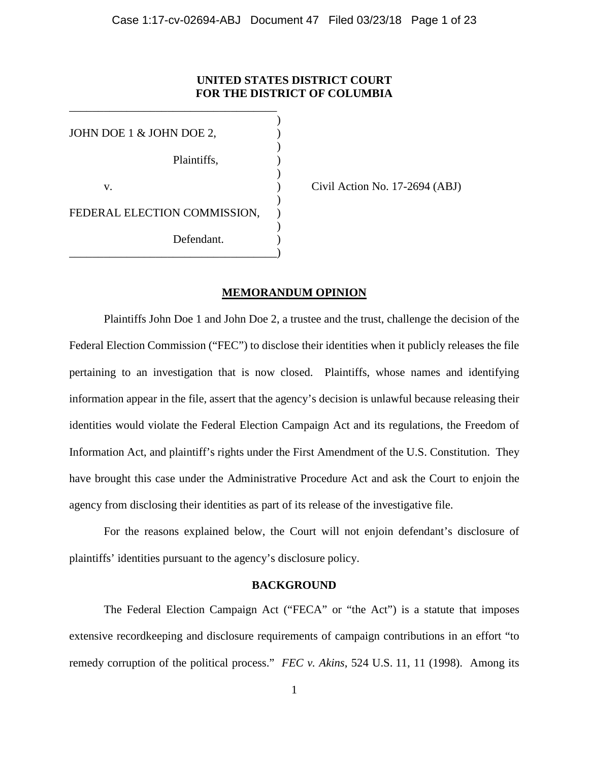## **UNITED STATES DISTRICT COURT FOR THE DISTRICT OF COLUMBIA**

)

)

)

)

)

JOHN DOE 1 & JOHN DOE 2, Plaintiffs, ) v. **(a)** Civil Action No. 17-2694 (ABJ) FEDERAL ELECTION COMMISSION, Defendant. \_\_\_\_\_\_\_\_\_\_\_\_\_\_\_\_\_\_\_\_\_\_\_\_\_\_\_\_\_\_\_\_\_\_\_\_)

\_\_\_\_\_\_\_\_\_\_\_\_\_\_\_\_\_\_\_\_\_\_\_\_\_\_\_\_\_\_\_\_\_\_\_\_

## **MEMORANDUM OPINION**

Plaintiffs John Doe 1 and John Doe 2, a trustee and the trust, challenge the decision of the Federal Election Commission ("FEC") to disclose their identities when it publicly releases the file pertaining to an investigation that is now closed. Plaintiffs, whose names and identifying information appear in the file, assert that the agency's decision is unlawful because releasing their identities would violate the Federal Election Campaign Act and its regulations, the Freedom of Information Act, and plaintiff's rights under the First Amendment of the U.S. Constitution. They have brought this case under the Administrative Procedure Act and ask the Court to enjoin the agency from disclosing their identities as part of its release of the investigative file.

For the reasons explained below, the Court will not enjoin defendant's disclosure of plaintiffs' identities pursuant to the agency's disclosure policy.

## **BACKGROUND**

The Federal Election Campaign Act ("FECA" or "the Act") is a statute that imposes extensive recordkeeping and disclosure requirements of campaign contributions in an effort "to remedy corruption of the political process." *FEC v. Akins*, 524 U.S. 11, 11 (1998). Among its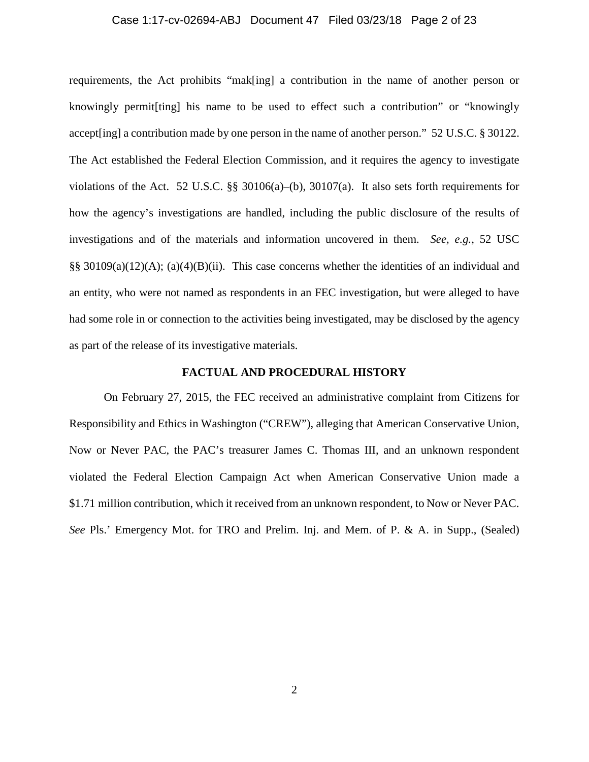#### Case 1:17-cv-02694-ABJ Document 47 Filed 03/23/18 Page 2 of 23

requirements, the Act prohibits "mak[ing] a contribution in the name of another person or knowingly permit[ting] his name to be used to effect such a contribution" or "knowingly accept[ing] a contribution made by one person in the name of another person." 52 U.S.C. § 30122. The Act established the Federal Election Commission, and it requires the agency to investigate violations of the Act. 52 U.S.C. §§ 30106(a)–(b), 30107(a). It also sets forth requirements for how the agency's investigations are handled, including the public disclosure of the results of investigations and of the materials and information uncovered in them. *See, e.g.*, 52 USC §§ 30109(a)(12)(A); (a)(4)(B)(ii). This case concerns whether the identities of an individual and an entity, who were not named as respondents in an FEC investigation, but were alleged to have had some role in or connection to the activities being investigated, may be disclosed by the agency as part of the release of its investigative materials.

## **FACTUAL AND PROCEDURAL HISTORY**

On February 27, 2015, the FEC received an administrative complaint from Citizens for Responsibility and Ethics in Washington ("CREW"), alleging that American Conservative Union, Now or Never PAC, the PAC's treasurer James C. Thomas III, and an unknown respondent violated the Federal Election Campaign Act when American Conservative Union made a \$1.71 million contribution, which it received from an unknown respondent, to Now or Never PAC. *See* Pls.' Emergency Mot. for TRO and Prelim. Inj. and Mem. of P. & A. in Supp., (Sealed)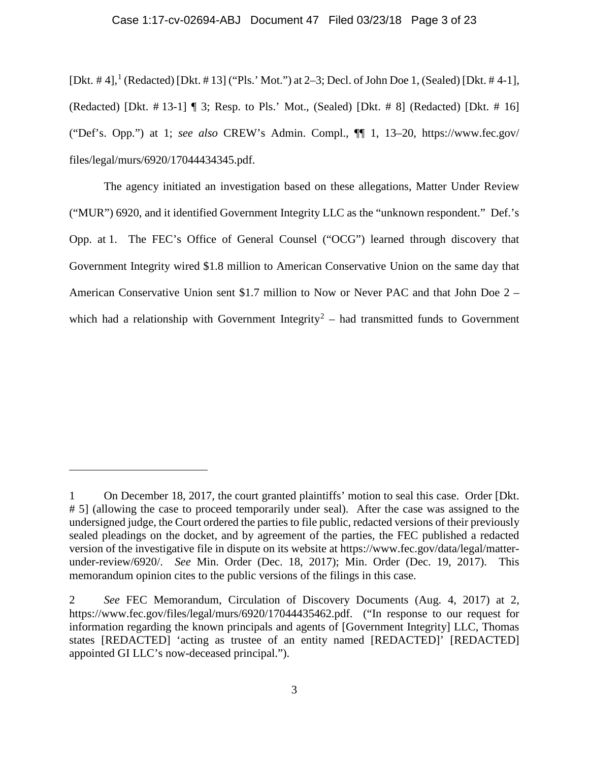#### Case 1:17-cv-02694-ABJ Document 47 Filed 03/23/18 Page 3 of 23

[Dkt. #4],<sup>[1](#page-2-0)</sup> (Redacted) [Dkt. #13] ("Pls.' Mot.") at 2–3; Decl. of John Doe 1, (Sealed) [Dkt. #4-1], (Redacted) [Dkt. # 13-1] ¶ 3; Resp. to Pls.' Mot., (Sealed) [Dkt. # 8] (Redacted) [Dkt. # 16] ("Def's. Opp.") at 1; *see also* CREW's Admin. Compl., ¶¶ 1, 13–20, https://www.fec.gov/ files/legal/murs/6920/17044434345.pdf.

The agency initiated an investigation based on these allegations, Matter Under Review ("MUR") 6920, and it identified Government Integrity LLC as the "unknown respondent." Def.'s Opp. at 1. The FEC's Office of General Counsel ("OCG") learned through discovery that Government Integrity wired \$1.8 million to American Conservative Union on the same day that American Conservative Union sent \$1.7 million to Now or Never PAC and that John Doe 2 – which had a relationship with Government Integrity<sup>[2](#page-2-1)</sup> – had transmitted funds to Government

<span id="page-2-0"></span><sup>1</sup> On December 18, 2017, the court granted plaintiffs' motion to seal this case. Order [Dkt. # 5] (allowing the case to proceed temporarily under seal). After the case was assigned to the undersigned judge, the Court ordered the parties to file public, redacted versions of their previously sealed pleadings on the docket, and by agreement of the parties, the FEC published a redacted version of the investigative file in dispute on its website at https://www.fec.gov/data/legal/matterunder-review/6920/. *See* Min. Order (Dec. 18, 2017); Min. Order (Dec. 19, 2017). This memorandum opinion cites to the public versions of the filings in this case.

<span id="page-2-1"></span><sup>2</sup> *See* FEC Memorandum, Circulation of Discovery Documents (Aug. 4, 2017) at 2, https://www.fec.gov/files/legal/murs/6920/17044435462.pdf. ("In response to our request for information regarding the known principals and agents of [Government Integrity] LLC, Thomas states [REDACTED] 'acting as trustee of an entity named [REDACTED]' [REDACTED] appointed GI LLC's now-deceased principal.").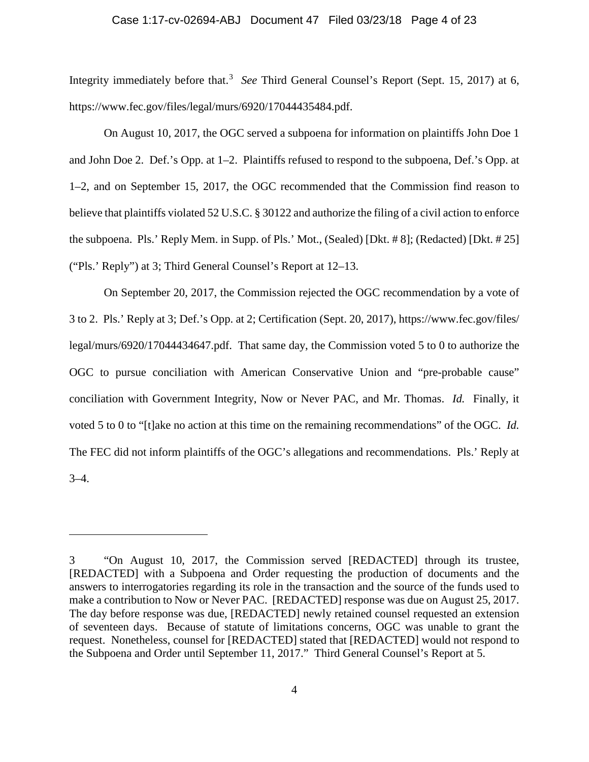#### Case 1:17-cv-02694-ABJ Document 47 Filed 03/23/18 Page 4 of 23

Integrity immediately before that.<sup>[3](#page-3-0)</sup> See Third General Counsel's Report (Sept. 15, 2017) at 6, https://www.fec.gov/files/legal/murs/6920/17044435484.pdf.

On August 10, 2017, the OGC served a subpoena for information on plaintiffs John Doe 1 and John Doe 2. Def.'s Opp. at 1–2. Plaintiffs refused to respond to the subpoena, Def.'s Opp. at 1–2, and on September 15, 2017, the OGC recommended that the Commission find reason to believe that plaintiffs violated 52 U.S.C. § 30122 and authorize the filing of a civil action to enforce the subpoena. Pls.' Reply Mem. in Supp. of Pls.' Mot., (Sealed) [Dkt. # 8]; (Redacted) [Dkt. # 25] ("Pls.' Reply") at 3; Third General Counsel's Report at 12–13.

On September 20, 2017, the Commission rejected the OGC recommendation by a vote of 3 to 2. Pls.' Reply at 3; Def.'s Opp. at 2; Certification (Sept. 20, 2017), https://www.fec.gov/files/ legal/murs/6920/17044434647.pdf. That same day, the Commission voted 5 to 0 to authorize the OGC to pursue conciliation with American Conservative Union and "pre-probable cause" conciliation with Government Integrity, Now or Never PAC, and Mr. Thomas. *Id.* Finally, it voted 5 to 0 to "[t]ake no action at this time on the remaining recommendations" of the OGC. *Id.* The FEC did not inform plaintiffs of the OGC's allegations and recommendations. Pls.' Reply at  $3-4.$ 

<span id="page-3-0"></span><sup>3</sup> "On August 10, 2017, the Commission served [REDACTED] through its trustee, [REDACTED] with a Subpoena and Order requesting the production of documents and the answers to interrogatories regarding its role in the transaction and the source of the funds used to make a contribution to Now or Never PAC. [REDACTED] response was due on August 25, 2017. The day before response was due, [REDACTED] newly retained counsel requested an extension of seventeen days. Because of statute of limitations concerns, OGC was unable to grant the request. Nonetheless, counsel for [REDACTED] stated that [REDACTED] would not respond to the Subpoena and Order until September 11, 2017." Third General Counsel's Report at 5.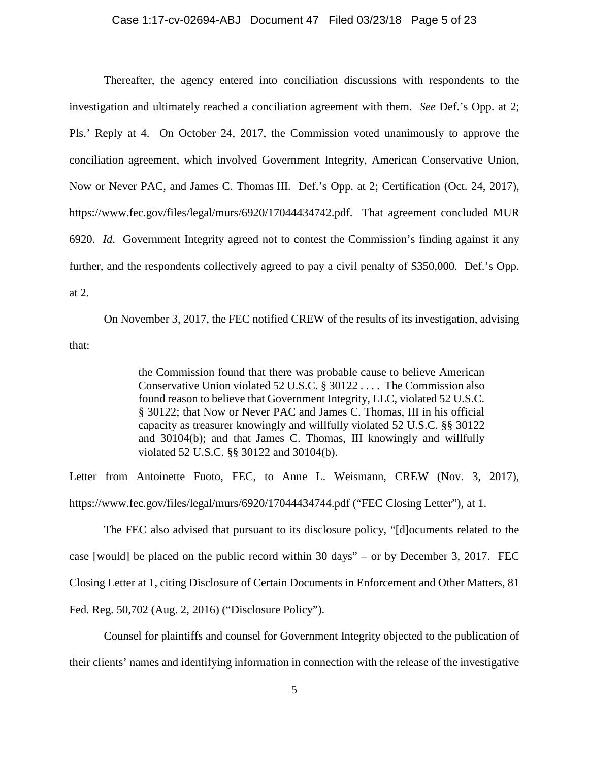Thereafter, the agency entered into conciliation discussions with respondents to the investigation and ultimately reached a conciliation agreement with them. *See* Def.'s Opp. at 2; Pls.' Reply at 4. On October 24, 2017, the Commission voted unanimously to approve the conciliation agreement, which involved Government Integrity, American Conservative Union, Now or Never PAC, and James C. Thomas III. Def.'s Opp. at 2; Certification (Oct. 24, 2017), https://www.fec.gov/files/legal/murs/6920/17044434742.pdf. That agreement concluded MUR 6920. *Id*. Government Integrity agreed not to contest the Commission's finding against it any further, and the respondents collectively agreed to pay a civil penalty of \$350,000. Def.'s Opp. at 2.

On November 3, 2017, the FEC notified CREW of the results of its investigation, advising that:

> the Commission found that there was probable cause to believe American Conservative Union violated 52 U.S.C. § 30122 . . . . The Commission also found reason to believe that Government Integrity, LLC, violated 52 U.S.C. § 30122; that Now or Never PAC and James C. Thomas, III in his official capacity as treasurer knowingly and willfully violated 52 U.S.C. §§ 30122 and 30104(b); and that James C. Thomas, III knowingly and willfully violated 52 U.S.C. §§ 30122 and 30104(b).

Letter from Antoinette Fuoto, FEC, to Anne L. Weismann, CREW (Nov. 3, 2017), https://www.fec.gov/files/legal/murs/6920/17044434744.pdf ("FEC Closing Letter"), at 1.

The FEC also advised that pursuant to its disclosure policy, "[d]ocuments related to the case [would] be placed on the public record within 30 days" – or by December 3, 2017. FEC Closing Letter at 1, citing Disclosure of Certain Documents in Enforcement and Other Matters, 81 Fed. Reg. 50,702 (Aug. 2, 2016) ("Disclosure Policy").

Counsel for plaintiffs and counsel for Government Integrity objected to the publication of their clients' names and identifying information in connection with the release of the investigative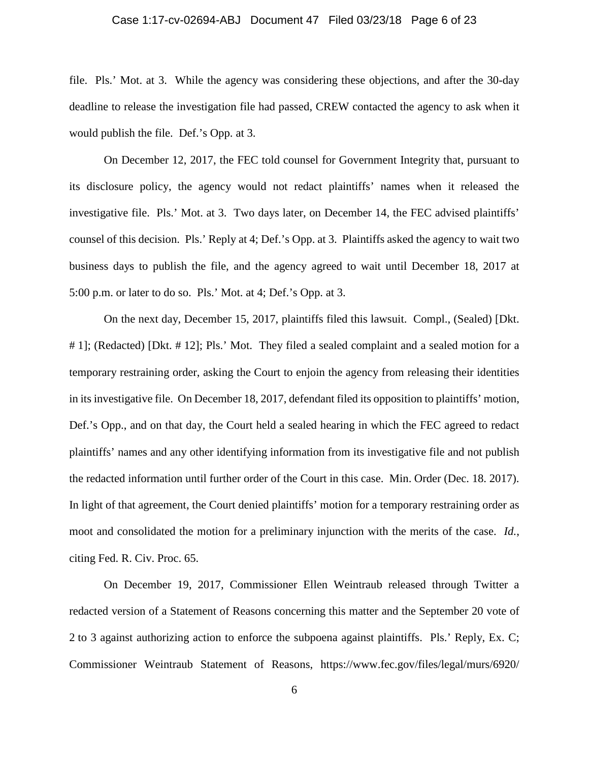## Case 1:17-cv-02694-ABJ Document 47 Filed 03/23/18 Page 6 of 23

file. Pls.' Mot. at 3. While the agency was considering these objections, and after the 30-day deadline to release the investigation file had passed, CREW contacted the agency to ask when it would publish the file. Def.'s Opp. at 3.

On December 12, 2017, the FEC told counsel for Government Integrity that, pursuant to its disclosure policy, the agency would not redact plaintiffs' names when it released the investigative file. Pls.' Mot. at 3. Two days later, on December 14, the FEC advised plaintiffs' counsel of this decision. Pls.' Reply at 4; Def.'s Opp. at 3. Plaintiffs asked the agency to wait two business days to publish the file, and the agency agreed to wait until December 18, 2017 at 5:00 p.m. or later to do so. Pls.' Mot. at 4; Def.'s Opp. at 3.

On the next day, December 15, 2017, plaintiffs filed this lawsuit. Compl., (Sealed) [Dkt. # 1]; (Redacted) [Dkt. # 12]; Pls.' Mot. They filed a sealed complaint and a sealed motion for a temporary restraining order, asking the Court to enjoin the agency from releasing their identities in its investigative file. On December 18, 2017, defendant filed its opposition to plaintiffs' motion, Def.'s Opp., and on that day, the Court held a sealed hearing in which the FEC agreed to redact plaintiffs' names and any other identifying information from its investigative file and not publish the redacted information until further order of the Court in this case. Min. Order (Dec. 18. 2017). In light of that agreement, the Court denied plaintiffs' motion for a temporary restraining order as moot and consolidated the motion for a preliminary injunction with the merits of the case. *Id.*, citing Fed. R. Civ. Proc. 65.

On December 19, 2017, Commissioner Ellen Weintraub released through Twitter a redacted version of a Statement of Reasons concerning this matter and the September 20 vote of 2 to 3 against authorizing action to enforce the subpoena against plaintiffs. Pls.' Reply, Ex. C; Commissioner Weintraub Statement of Reasons, https://www.fec.gov/files/legal/murs/6920/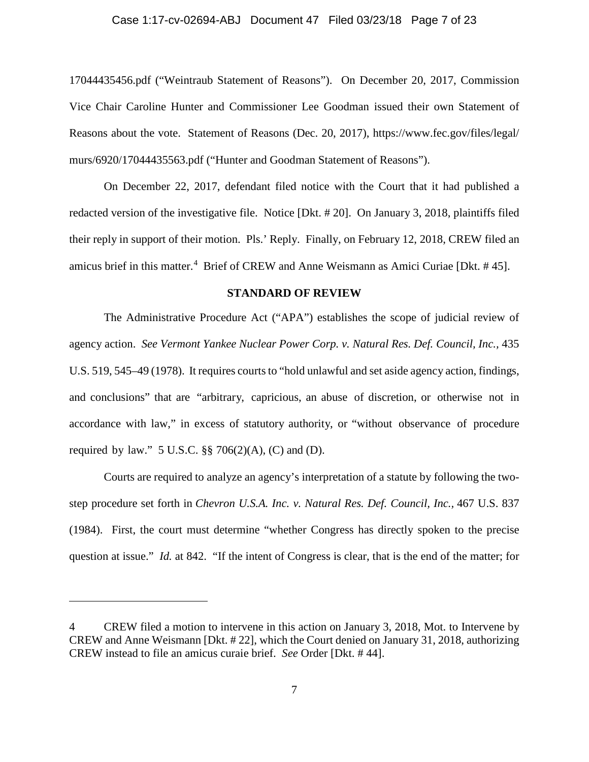#### Case 1:17-cv-02694-ABJ Document 47 Filed 03/23/18 Page 7 of 23

17044435456.pdf ("Weintraub Statement of Reasons"). On December 20, 2017, Commission Vice Chair Caroline Hunter and Commissioner Lee Goodman issued their own Statement of Reasons about the vote. Statement of Reasons (Dec. 20, 2017), https://www.fec.gov/files/legal/ murs/6920/17044435563.pdf ("Hunter and Goodman Statement of Reasons").

On December 22, 2017, defendant filed notice with the Court that it had published a redacted version of the investigative file. Notice [Dkt. # 20]. On January 3, 2018, plaintiffs filed their reply in support of their motion. Pls.' Reply. Finally, on February 12, 2018, CREW filed an amicus brief in this matter.<sup>[4](#page-6-0)</sup> Brief of CREW and Anne Weismann as Amici Curiae [Dkt. #45].

## **STANDARD OF REVIEW**

The Administrative Procedure Act ("APA") establishes the scope of judicial review of agency action. *See Vermont Yankee Nuclear Power Corp. v. Natural Res. Def. Council, Inc.,* 435 U.S. 519, 545–49 (1978). It requires courts to "hold unlawful and set aside agency action, findings, and conclusions" that are "arbitrary, capricious, an abuse of discretion, or otherwise not in accordance with law," in excess of statutory authority, or "without observance of procedure required by law." 5 U.S.C.  $\S$  706(2)(A), (C) and (D).

Courts are required to analyze an agency's interpretation of a statute by following the twostep procedure set forth in *Chevron U.S.A. Inc. v. Natural Res. Def. Council, Inc.,* 467 U.S. 837 (1984). First, the court must determine "whether Congress has directly spoken to the precise question at issue." *Id.* at 842. "If the intent of Congress is clear, that is the end of the matter; for

<span id="page-6-0"></span><sup>4</sup> CREW filed a motion to intervene in this action on January 3, 2018, Mot. to Intervene by CREW and Anne Weismann [Dkt. # 22], which the Court denied on January 31, 2018, authorizing CREW instead to file an amicus curaie brief. *See* Order [Dkt. # 44].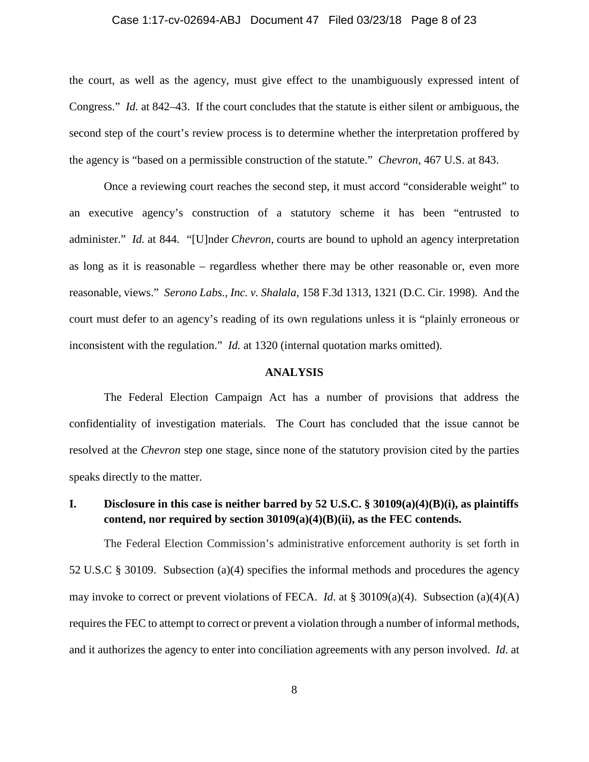## Case 1:17-cv-02694-ABJ Document 47 Filed 03/23/18 Page 8 of 23

the court, as well as the agency, must give effect to the unambiguously expressed intent of Congress." *Id.* at 842–43. If the court concludes that the statute is either silent or ambiguous, the second step of the court's review process is to determine whether the interpretation proffered by the agency is "based on a permissible construction of the statute." *Chevron,* 467 U.S. at 843.

Once a reviewing court reaches the second step, it must accord "considerable weight" to an executive agency's construction of a statutory scheme it has been "entrusted to administer." *Id.* at 844. "[U]nder *Chevron,* courts are bound to uphold an agency interpretation as long as it is reasonable – regardless whether there may be other reasonable or, even more reasonable, views." *Serono Labs., Inc. v. Shalala,* 158 F.3d 1313, 1321 (D.C. Cir. 1998). And the court must defer to an agency's reading of its own regulations unless it is "plainly erroneous or inconsistent with the regulation." *Id.* at 1320 (internal quotation marks omitted).

## **ANALYSIS**

The Federal Election Campaign Act has a number of provisions that address the confidentiality of investigation materials. The Court has concluded that the issue cannot be resolved at the *Chevron* step one stage, since none of the statutory provision cited by the parties speaks directly to the matter.

# **I. Disclosure in this case is neither barred by 52 U.S.C. § 30109(a)(4)(B)(i), as plaintiffs contend, nor required by section 30109(a)(4)(B)(ii), as the FEC contends.**

The Federal Election Commission's administrative enforcement authority is set forth in 52 U.S.C § 30109. Subsection (a)(4) specifies the informal methods and procedures the agency may invoke to correct or prevent violations of FECA. *Id*. at § 30109(a)(4). Subsection (a)(4)(A) requires the FEC to attempt to correct or prevent a violation through a number of informal methods, and it authorizes the agency to enter into conciliation agreements with any person involved. *Id*. at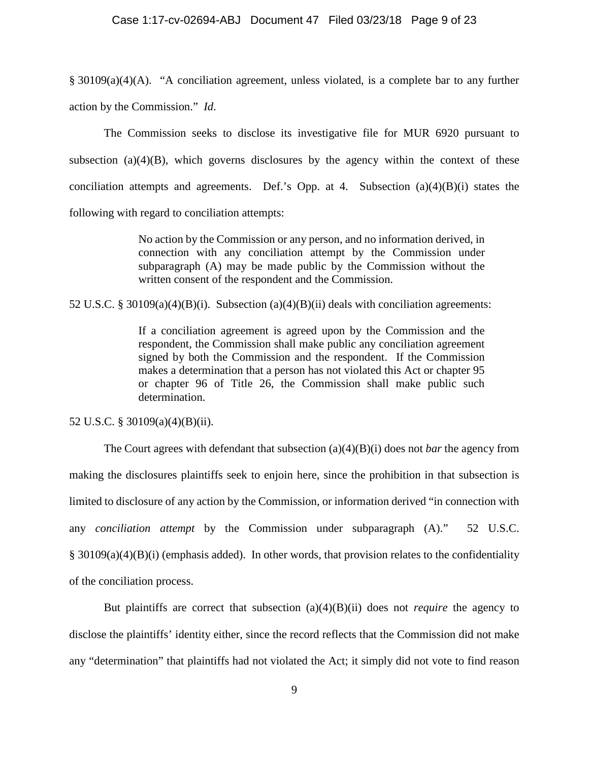#### Case 1:17-cv-02694-ABJ Document 47 Filed 03/23/18 Page 9 of 23

§ 30109(a)(4)(A). "A conciliation agreement, unless violated, is a complete bar to any further action by the Commission." *Id*.

The Commission seeks to disclose its investigative file for MUR 6920 pursuant to subsection  $(a)(4)(B)$ , which governs disclosures by the agency within the context of these conciliation attempts and agreements. Def.'s Opp. at 4. Subsection  $(a)(4)(B)(i)$  states the following with regard to conciliation attempts:

> No action by the Commission or any person, and no information derived, in connection with any conciliation attempt by the Commission under subparagraph (A) may be made public by the Commission without the written consent of the respondent and the Commission.

52 U.S.C. § 30109(a)(4)(B)(i). Subsection (a)(4)(B)(ii) deals with conciliation agreements:

If a conciliation agreement is agreed upon by the Commission and the respondent, the Commission shall make public any conciliation agreement signed by both the Commission and the respondent. If the Commission makes a determination that a person has not violated this Act or chapter 95 or chapter 96 of Title 26, the Commission shall make public such determination.

52 U.S.C. § 30109(a)(4)(B)(ii).

The Court agrees with defendant that subsection (a)(4)(B)(i) does not *bar* the agency from making the disclosures plaintiffs seek to enjoin here, since the prohibition in that subsection is limited to disclosure of any action by the Commission, or information derived "in connection with any *conciliation attempt* by the Commission under subparagraph (A)." 52 U.S.C. § 30109(a)(4)(B)(i) (emphasis added). In other words, that provision relates to the confidentiality of the conciliation process.

But plaintiffs are correct that subsection (a)(4)(B)(ii) does not *require* the agency to disclose the plaintiffs' identity either, since the record reflects that the Commission did not make any "determination" that plaintiffs had not violated the Act; it simply did not vote to find reason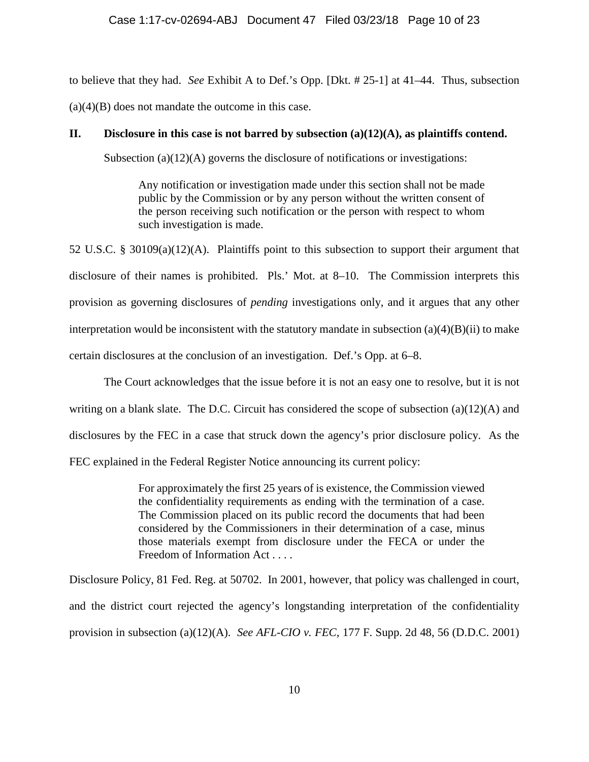to believe that they had. *See* Exhibit A to Def.'s Opp. [Dkt. # 25-1] at 41–44. Thus, subsection  $(a)(4)(B)$  does not mandate the outcome in this case.

# **II. Disclosure in this case is not barred by subsection (a)(12)(A), as plaintiffs contend.**

Subsection (a)(12)(A) governs the disclosure of notifications or investigations:

Any notification or investigation made under this section shall not be made public by the Commission or by any person without the written consent of the person receiving such notification or the person with respect to whom such investigation is made.

52 U.S.C. § 30109(a)(12)(A). Plaintiffs point to this subsection to support their argument that disclosure of their names is prohibited. Pls.' Mot. at 8–10. The Commission interprets this provision as governing disclosures of *pending* investigations only, and it argues that any other interpretation would be inconsistent with the statutory mandate in subsection  $(a)(4)(B)(ii)$  to make certain disclosures at the conclusion of an investigation. Def.'s Opp. at 6–8.

The Court acknowledges that the issue before it is not an easy one to resolve, but it is not writing on a blank slate. The D.C. Circuit has considered the scope of subsection  $(a)(12)(A)$  and disclosures by the FEC in a case that struck down the agency's prior disclosure policy. As the FEC explained in the Federal Register Notice announcing its current policy:

> For approximately the first 25 years of is existence, the Commission viewed the confidentiality requirements as ending with the termination of a case. The Commission placed on its public record the documents that had been considered by the Commissioners in their determination of a case, minus those materials exempt from disclosure under the FECA or under the Freedom of Information Act . . . .

Disclosure Policy, 81 Fed. Reg. at 50702. In 2001, however, that policy was challenged in court, and the district court rejected the agency's longstanding interpretation of the confidentiality provision in subsection (a)(12)(A). *See AFL-CIO v. FEC,* 177 F. Supp. 2d 48, 56 (D.D.C. 2001)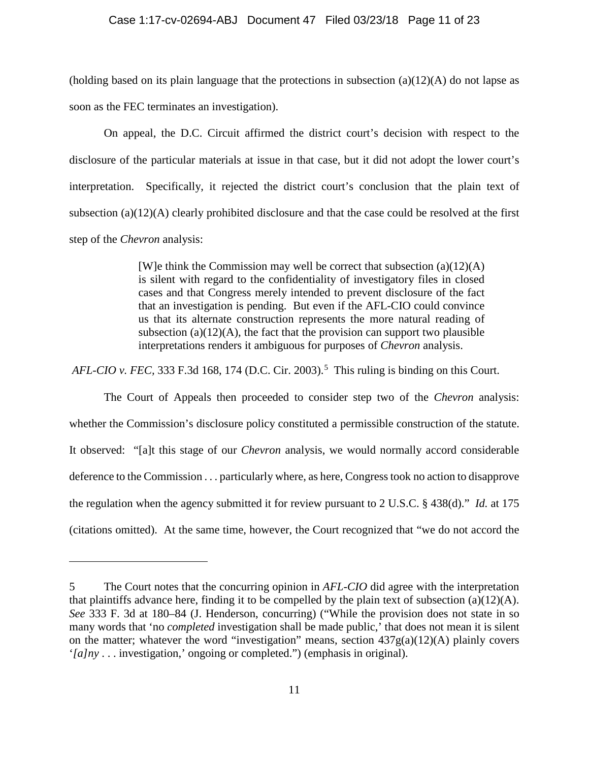## Case 1:17-cv-02694-ABJ Document 47 Filed 03/23/18 Page 11 of 23

(holding based on its plain language that the protections in subsection  $(a)(12)(A)$  do not lapse as soon as the FEC terminates an investigation).

On appeal, the D.C. Circuit affirmed the district court's decision with respect to the disclosure of the particular materials at issue in that case, but it did not adopt the lower court's interpretation. Specifically, it rejected the district court's conclusion that the plain text of subsection (a) $(12)(A)$  clearly prohibited disclosure and that the case could be resolved at the first step of the *Chevron* analysis:

> [W]e think the Commission may well be correct that subsection  $(a)(12)(A)$ is silent with regard to the confidentiality of investigatory files in closed cases and that Congress merely intended to prevent disclosure of the fact that an investigation is pending. But even if the AFL-CIO could convince us that its alternate construction represents the more natural reading of subsection (a) $(12)(A)$ , the fact that the provision can support two plausible interpretations renders it ambiguous for purposes of *Chevron* analysis.

*AFL-CIO v. FEC,* 333 F.3d 168, 174 (D.C. Cir. 2003). [5](#page-10-0) This ruling is binding on this Court.

The Court of Appeals then proceeded to consider step two of the *Chevron* analysis: whether the Commission's disclosure policy constituted a permissible construction of the statute. It observed: "[a]t this stage of our *Chevron* analysis, we would normally accord considerable deference to the Commission . . . particularly where, as here, Congress took no action to disapprove the regulation when the agency submitted it for review pursuant to 2 U.S.C. § 438(d)." *Id.* at 175 (citations omitted). At the same time, however, the Court recognized that "we do not accord the

<span id="page-10-0"></span><sup>5</sup> The Court notes that the concurring opinion in *AFL-CIO* did agree with the interpretation that plaintiffs advance here, finding it to be compelled by the plain text of subsection (a)(12)(A). *See* 333 F. 3d at 180–84 (J. Henderson, concurring) ("While the provision does not state in so many words that 'no *completed* investigation shall be made public,' that does not mean it is silent on the matter; whatever the word "investigation" means, section  $437g(a)(12)(A)$  plainly covers '*[a]ny* . . . investigation,' ongoing or completed.") (emphasis in original).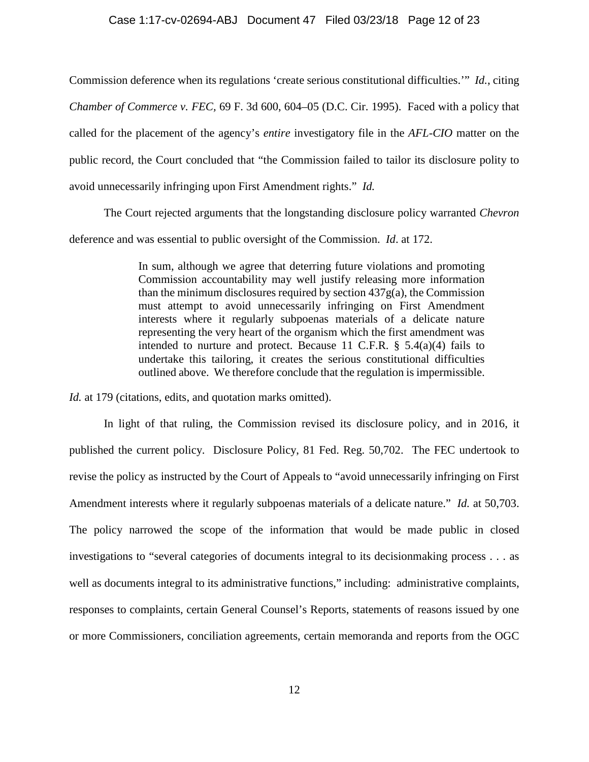### Case 1:17-cv-02694-ABJ Document 47 Filed 03/23/18 Page 12 of 23

Commission deference when its regulations 'create serious constitutional difficulties.'" *Id.*, citing *Chamber of Commerce v. FEC,* 69 F. 3d 600, 604–05 (D.C. Cir. 1995). Faced with a policy that called for the placement of the agency's *entire* investigatory file in the *AFL-CIO* matter on the public record, the Court concluded that "the Commission failed to tailor its disclosure polity to avoid unnecessarily infringing upon First Amendment rights." *Id.*

The Court rejected arguments that the longstanding disclosure policy warranted *Chevron* deference and was essential to public oversight of the Commission. *Id*. at 172.

> In sum, although we agree that deterring future violations and promoting Commission accountability may well justify releasing more information than the minimum disclosures required by section  $437g(a)$ , the Commission must attempt to avoid unnecessarily infringing on First Amendment interests where it regularly subpoenas materials of a delicate nature representing the very heart of the organism which the first amendment was intended to nurture and protect. Because 11 C.F.R. § 5.4(a)(4) fails to undertake this tailoring, it creates the serious constitutional difficulties outlined above. We therefore conclude that the regulation is impermissible.

*Id.* at 179 (citations, edits, and quotation marks omitted).

In light of that ruling, the Commission revised its disclosure policy, and in 2016, it published the current policy. Disclosure Policy, 81 Fed. Reg. 50,702. The FEC undertook to revise the policy as instructed by the Court of Appeals to "avoid unnecessarily infringing on First Amendment interests where it regularly subpoenas materials of a delicate nature." *Id.* at 50,703. The policy narrowed the scope of the information that would be made public in closed investigations to "several categories of documents integral to its decisionmaking process . . . as well as documents integral to its administrative functions," including: administrative complaints, responses to complaints, certain General Counsel's Reports, statements of reasons issued by one or more Commissioners, conciliation agreements, certain memoranda and reports from the OGC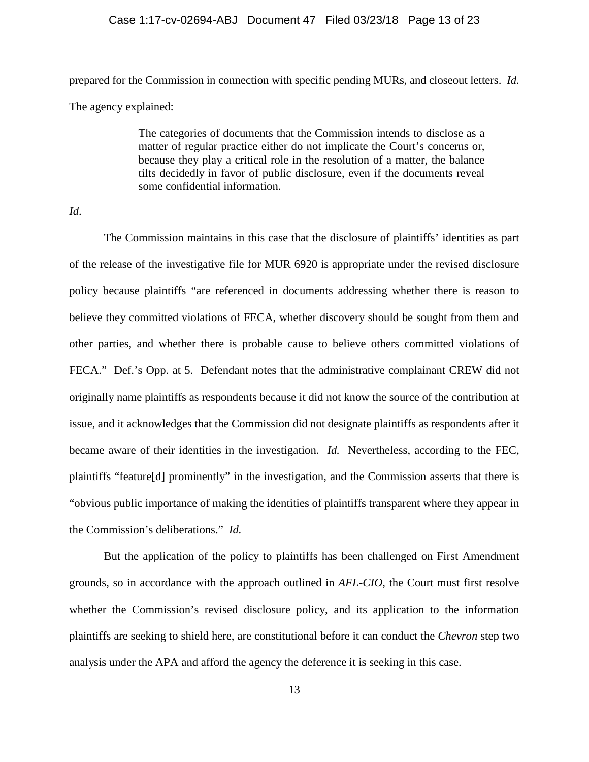#### Case 1:17-cv-02694-ABJ Document 47 Filed 03/23/18 Page 13 of 23

prepared for the Commission in connection with specific pending MURs, and closeout letters. *Id.* The agency explained:

> The categories of documents that the Commission intends to disclose as a matter of regular practice either do not implicate the Court's concerns or, because they play a critical role in the resolution of a matter, the balance tilts decidedly in favor of public disclosure, even if the documents reveal some confidential information.

*Id*.

The Commission maintains in this case that the disclosure of plaintiffs' identities as part of the release of the investigative file for MUR 6920 is appropriate under the revised disclosure policy because plaintiffs "are referenced in documents addressing whether there is reason to believe they committed violations of FECA, whether discovery should be sought from them and other parties, and whether there is probable cause to believe others committed violations of FECA." Def.'s Opp. at 5. Defendant notes that the administrative complainant CREW did not originally name plaintiffs as respondents because it did not know the source of the contribution at issue, and it acknowledges that the Commission did not designate plaintiffs as respondents after it became aware of their identities in the investigation. *Id.* Nevertheless, according to the FEC, plaintiffs "feature[d] prominently" in the investigation, and the Commission asserts that there is "obvious public importance of making the identities of plaintiffs transparent where they appear in the Commission's deliberations." *Id.*

But the application of the policy to plaintiffs has been challenged on First Amendment grounds, so in accordance with the approach outlined in *AFL-CIO,* the Court must first resolve whether the Commission's revised disclosure policy, and its application to the information plaintiffs are seeking to shield here, are constitutional before it can conduct the *Chevron* step two analysis under the APA and afford the agency the deference it is seeking in this case.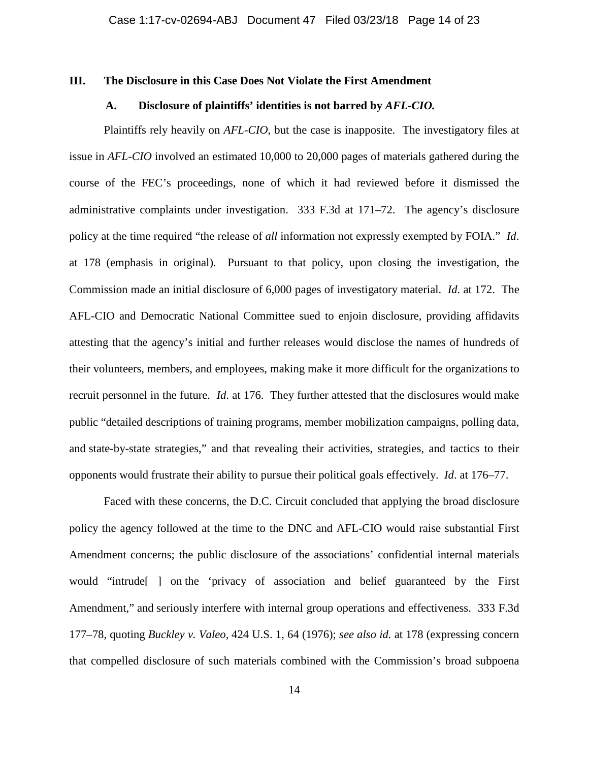## **III. The Disclosure in this Case Does Not Violate the First Amendment**

## **A. Disclosure of plaintiffs' identities is not barred by** *AFL-CIO.*

Plaintiffs rely heavily on *AFL-CIO*, but the case is inapposite. The investigatory files at issue in *AFL-CIO* involved an estimated 10,000 to 20,000 pages of materials gathered during the course of the FEC's proceedings, none of which it had reviewed before it dismissed the administrative complaints under investigation. 333 F.3d at 171–72. The agency's disclosure policy at the time required "the release of *all* information not expressly exempted by FOIA." *Id*. at 178 (emphasis in original). Pursuant to that policy, upon closing the investigation, the Commission made an initial disclosure of 6,000 pages of investigatory material. *Id*. at 172. The AFL-CIO and Democratic National Committee sued to enjoin disclosure, providing affidavits attesting that the agency's initial and further releases would disclose the names of hundreds of their volunteers, members, and employees, making make it more difficult for the organizations to recruit personnel in the future. *Id*. at 176. They further attested that the disclosures would make public "detailed descriptions of training programs, member mobilization campaigns, polling data, and state-by-state strategies," and that revealing their activities, strategies, and tactics to their opponents would frustrate their ability to pursue their political goals effectively. *Id*. at 176–77.

Faced with these concerns, the D.C. Circuit concluded that applying the broad disclosure policy the agency followed at the time to the DNC and AFL-CIO would raise substantial First Amendment concerns; the public disclosure of the associations' confidential internal materials would "intrude[ ] on the 'privacy of association and belief guaranteed by the First Amendment," and seriously interfere with internal group operations and effectiveness. 333 F.3d 177–78, quoting *Buckley v. Valeo,* 424 U.S. 1, 64 (1976); *see also id.* at 178 (expressing concern that compelled disclosure of such materials combined with the Commission's broad subpoena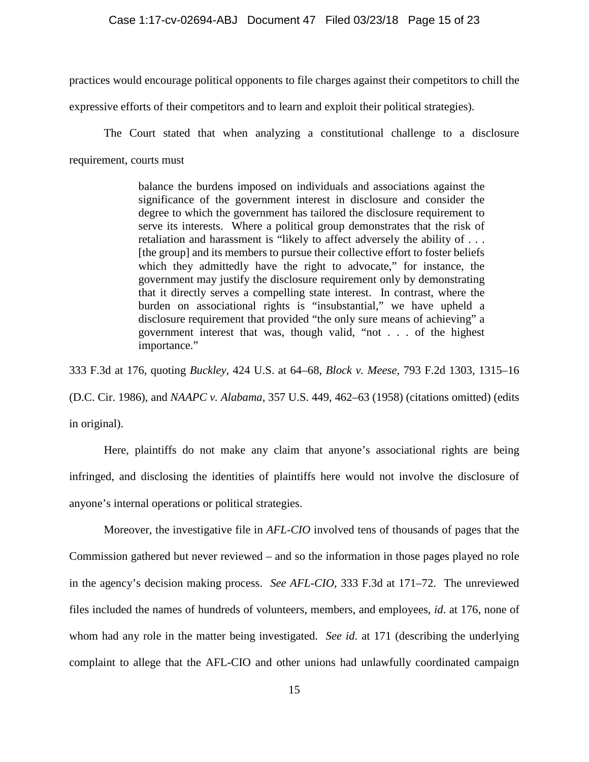### Case 1:17-cv-02694-ABJ Document 47 Filed 03/23/18 Page 15 of 23

practices would encourage political opponents to file charges against their competitors to chill the

expressive efforts of their competitors and to learn and exploit their political strategies).

The Court stated that when analyzing a constitutional challenge to a disclosure requirement, courts must

> balance the burdens imposed on individuals and associations against the significance of the government interest in disclosure and consider the degree to which the government has tailored the disclosure requirement to serve its interests. Where a political group demonstrates that the risk of retaliation and harassment is "likely to affect adversely the ability of . . . [the group] and its members to pursue their collective effort to foster beliefs which they admittedly have the right to advocate," for instance, the government may justify the disclosure requirement only by demonstrating that it directly serves a compelling state interest. In contrast, where the burden on associational rights is "insubstantial," we have upheld a disclosure requirement that provided "the only sure means of achieving" a government interest that was, though valid, "not . . . of the highest importance."

333 F.3d at 176, quoting *Buckley,* 424 U.S. at 64–68, *Block v. Meese,* 793 F.2d 1303, 1315–16 (D.C. Cir. 1986), and *NAAPC v. Alabama*, 357 U.S. 449, 462–63 (1958) (citations omitted) (edits in original).

Here, plaintiffs do not make any claim that anyone's associational rights are being infringed, and disclosing the identities of plaintiffs here would not involve the disclosure of anyone's internal operations or political strategies.

Moreover, the investigative file in *AFL-CIO* involved tens of thousands of pages that the Commission gathered but never reviewed – and so the information in those pages played no role in the agency's decision making process. *See AFL-CIO*, 333 F.3d at 171–72. The unreviewed files included the names of hundreds of volunteers, members, and employees, *id*. at 176, none of whom had any role in the matter being investigated. *See id*. at 171 (describing the underlying complaint to allege that the AFL-CIO and other unions had unlawfully coordinated campaign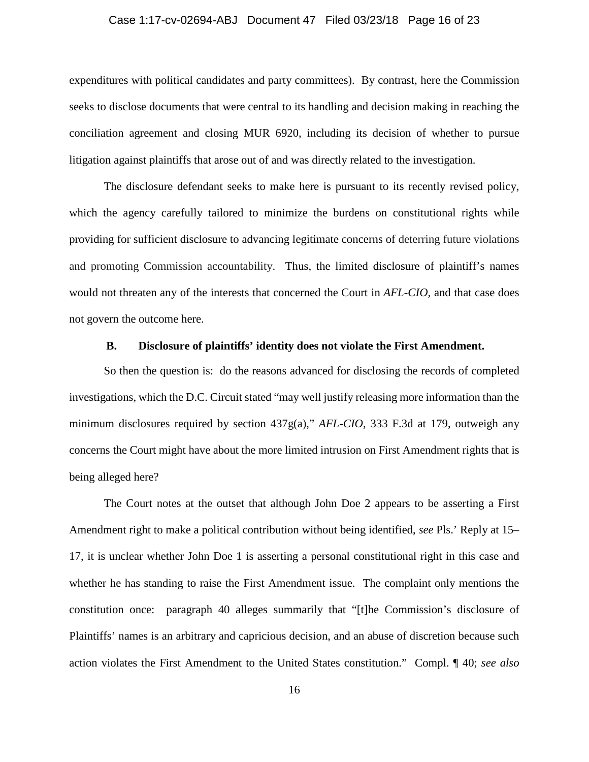## Case 1:17-cv-02694-ABJ Document 47 Filed 03/23/18 Page 16 of 23

expenditures with political candidates and party committees). By contrast, here the Commission seeks to disclose documents that were central to its handling and decision making in reaching the conciliation agreement and closing MUR 6920, including its decision of whether to pursue litigation against plaintiffs that arose out of and was directly related to the investigation.

The disclosure defendant seeks to make here is pursuant to its recently revised policy, which the agency carefully tailored to minimize the burdens on constitutional rights while providing for sufficient disclosure to advancing legitimate concerns of deterring future violations and promoting Commission accountability. Thus, the limited disclosure of plaintiff's names would not threaten any of the interests that concerned the Court in *AFL-CIO,* and that case does not govern the outcome here.

# **B. Disclosure of plaintiffs' identity does not violate the First Amendment.**

So then the question is: do the reasons advanced for disclosing the records of completed investigations, which the D.C. Circuit stated "may well justify releasing more information than the minimum disclosures required by section 437g(a)," *AFL-CIO*, 333 F.3d at 179, outweigh any concerns the Court might have about the more limited intrusion on First Amendment rights that is being alleged here?

The Court notes at the outset that although John Doe 2 appears to be asserting a First Amendment right to make a political contribution without being identified, *see* Pls.' Reply at 15– 17, it is unclear whether John Doe 1 is asserting a personal constitutional right in this case and whether he has standing to raise the First Amendment issue. The complaint only mentions the constitution once: paragraph 40 alleges summarily that "[t]he Commission's disclosure of Plaintiffs' names is an arbitrary and capricious decision, and an abuse of discretion because such action violates the First Amendment to the United States constitution." Compl. ¶ 40; *see also*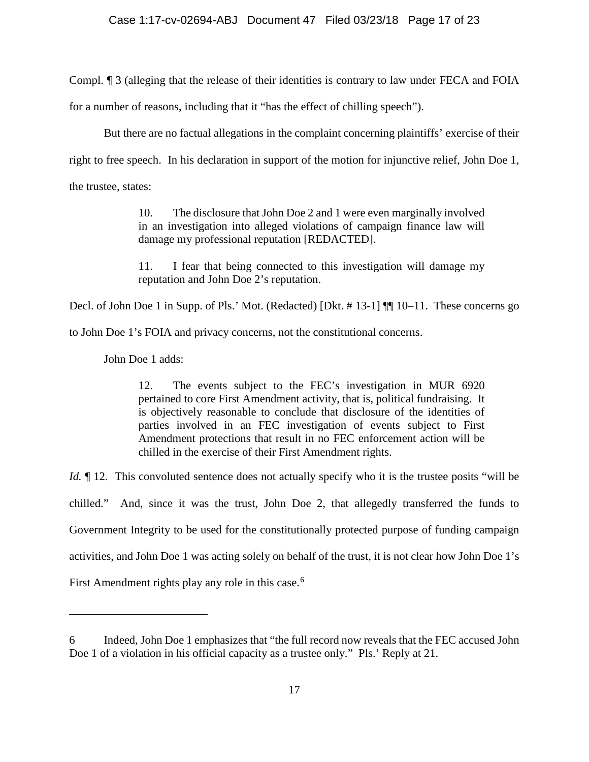Compl. ¶ 3 (alleging that the release of their identities is contrary to law under FECA and FOIA

for a number of reasons, including that it "has the effect of chilling speech").

But there are no factual allegations in the complaint concerning plaintiffs' exercise of their right to free speech. In his declaration in support of the motion for injunctive relief, John Doe 1, the trustee, states:

> 10. The disclosure that John Doe 2 and 1 were even marginally involved in an investigation into alleged violations of campaign finance law will damage my professional reputation [REDACTED].

> 11. I fear that being connected to this investigation will damage my reputation and John Doe 2's reputation.

Decl. of John Doe 1 in Supp. of Pls.' Mot. (Redacted) [Dkt. # 13-1] ¶¶ 10–11. These concerns go

to John Doe 1's FOIA and privacy concerns, not the constitutional concerns.

John Doe 1 adds:

 $\overline{a}$ 

12. The events subject to the FEC's investigation in MUR 6920 pertained to core First Amendment activity, that is, political fundraising. It is objectively reasonable to conclude that disclosure of the identities of parties involved in an FEC investigation of events subject to First Amendment protections that result in no FEC enforcement action will be chilled in the exercise of their First Amendment rights.

*Id.*  $\parallel$  12. This convoluted sentence does not actually specify who it is the trustee posits "will be chilled." And, since it was the trust, John Doe 2, that allegedly transferred the funds to Government Integrity to be used for the constitutionally protected purpose of funding campaign activities, and John Doe 1 was acting solely on behalf of the trust, it is not clear how John Doe 1's First Amendment rights play any role in this case.<sup>[6](#page-16-0)</sup>

<span id="page-16-0"></span><sup>6</sup> Indeed, John Doe 1 emphasizes that "the full record now reveals that the FEC accused John Doe 1 of a violation in his official capacity as a trustee only." Pls.' Reply at 21.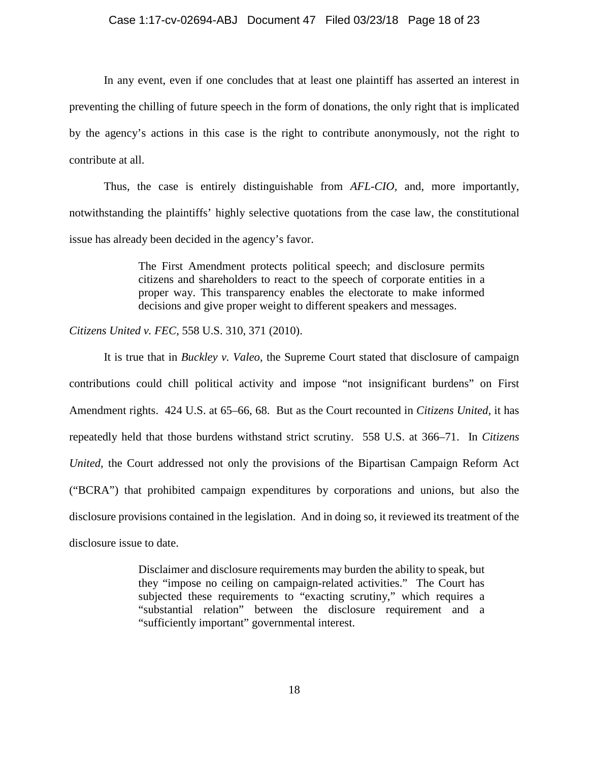#### Case 1:17-cv-02694-ABJ Document 47 Filed 03/23/18 Page 18 of 23

In any event, even if one concludes that at least one plaintiff has asserted an interest in preventing the chilling of future speech in the form of donations, the only right that is implicated by the agency's actions in this case is the right to contribute anonymously, not the right to contribute at all.

Thus, the case is entirely distinguishable from *AFL-CIO,* and, more importantly, notwithstanding the plaintiffs' highly selective quotations from the case law, the constitutional issue has already been decided in the agency's favor.

> The First Amendment protects political speech; and disclosure permits citizens and shareholders to react to the speech of corporate entities in a proper way. This transparency enables the electorate to make informed decisions and give proper weight to different speakers and messages.

*Citizens United v. FEC*, 558 U.S. 310, 371 (2010).

It is true that in *Buckley v. Valeo*, the Supreme Court stated that disclosure of campaign contributions could chill political activity and impose "not insignificant burdens" on First Amendment rights. 424 U.S. at 65–66, 68. But as the Court recounted in *Citizens United,* it has repeatedly held that those burdens withstand strict scrutiny. 558 U.S. at 366–71. In *Citizens United,* the Court addressed not only the provisions of the Bipartisan Campaign Reform Act ("BCRA") that prohibited campaign expenditures by corporations and unions, but also the disclosure provisions contained in the legislation. And in doing so, it reviewed its treatment of the disclosure issue to date.

> Disclaimer and disclosure requirements may burden the ability to speak, but they "impose no ceiling on campaign-related activities." The Court has subjected these requirements to "exacting scrutiny," which requires a "substantial relation" between the disclosure requirement and a "sufficiently important" governmental interest.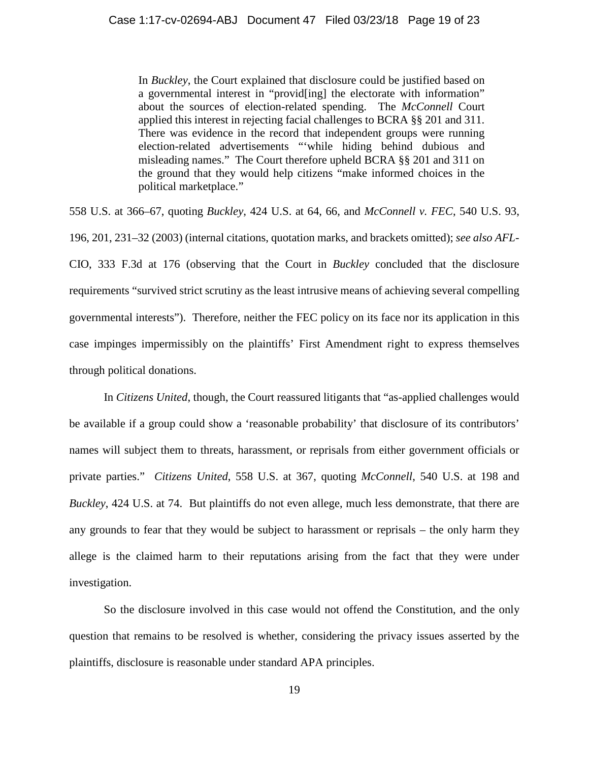In *Buckley*, the Court explained that disclosure could be justified based on a governmental interest in "provid[ing] the electorate with information" about the sources of election-related spending. The *McConnell* Court applied this interest in rejecting facial challenges to BCRA §§ 201 and 311. There was evidence in the record that independent groups were running election-related advertisements "'while hiding behind dubious and misleading names." The Court therefore upheld BCRA §§ 201 and 311 on the ground that they would help citizens "make informed choices in the political marketplace."

558 U.S. at 366–67, quoting *Buckley*, 424 U.S. at 64, 66, and *McConnell v. FEC*, 540 U.S. 93, 196, 201, 231–32 (2003) (internal citations, quotation marks, and brackets omitted); *see also AFL-*CIO, 333 F.3d at 176 (observing that the Court in *Buckley* concluded that the disclosure requirements "survived strict scrutiny as the least intrusive means of achieving several compelling governmental interests"). Therefore, neither the FEC policy on its face nor its application in this case impinges impermissibly on the plaintiffs' First Amendment right to express themselves through political donations.

In *Citizens United*, though, the Court reassured litigants that "as-applied challenges would be available if a group could show a 'reasonable probability' that disclosure of its contributors' names will subject them to threats, harassment, or reprisals from either government officials or private parties." *Citizens United*, 558 U.S. at 367, quoting *McConnell*, 540 U.S. at 198 and *Buckley*, 424 U.S. at 74. But plaintiffs do not even allege, much less demonstrate, that there are any grounds to fear that they would be subject to harassment or reprisals – the only harm they allege is the claimed harm to their reputations arising from the fact that they were under investigation.

So the disclosure involved in this case would not offend the Constitution, and the only question that remains to be resolved is whether, considering the privacy issues asserted by the plaintiffs, disclosure is reasonable under standard APA principles.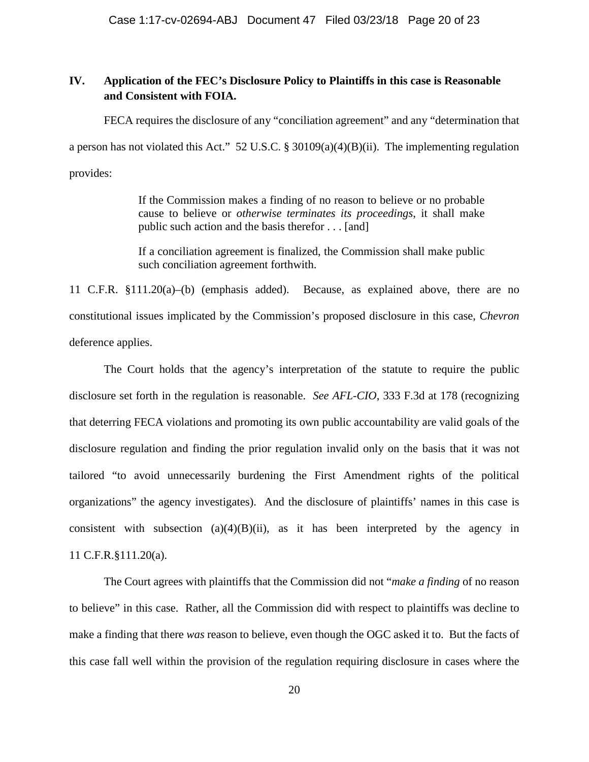# **IV. Application of the FEC's Disclosure Policy to Plaintiffs in this case is Reasonable and Consistent with FOIA.**

FECA requires the disclosure of any "conciliation agreement" and any "determination that a person has not violated this Act." 52 U.S.C. § 30109(a)(4)(B)(ii). The implementing regulation provides:

> If the Commission makes a finding of no reason to believe or no probable cause to believe or *otherwise terminates its proceedings*, it shall make public such action and the basis therefor . . . [and]

> If a conciliation agreement is finalized, the Commission shall make public such conciliation agreement forthwith.

11 C.F.R. §111.20(a)–(b) (emphasis added). Because, as explained above, there are no constitutional issues implicated by the Commission's proposed disclosure in this case, *Chevron* deference applies.

The Court holds that the agency's interpretation of the statute to require the public disclosure set forth in the regulation is reasonable. *See AFL-CIO*, 333 F.3d at 178 (recognizing that deterring FECA violations and promoting its own public accountability are valid goals of the disclosure regulation and finding the prior regulation invalid only on the basis that it was not tailored "to avoid unnecessarily burdening the First Amendment rights of the political organizations" the agency investigates). And the disclosure of plaintiffs' names in this case is consistent with subsection  $(a)(4)(B)(ii)$ , as it has been interpreted by the agency in 11 C.F.R.§111.20(a).

The Court agrees with plaintiffs that the Commission did not "*make a finding* of no reason to believe" in this case. Rather, all the Commission did with respect to plaintiffs was decline to make a finding that there *was* reason to believe, even though the OGC asked it to. But the facts of this case fall well within the provision of the regulation requiring disclosure in cases where the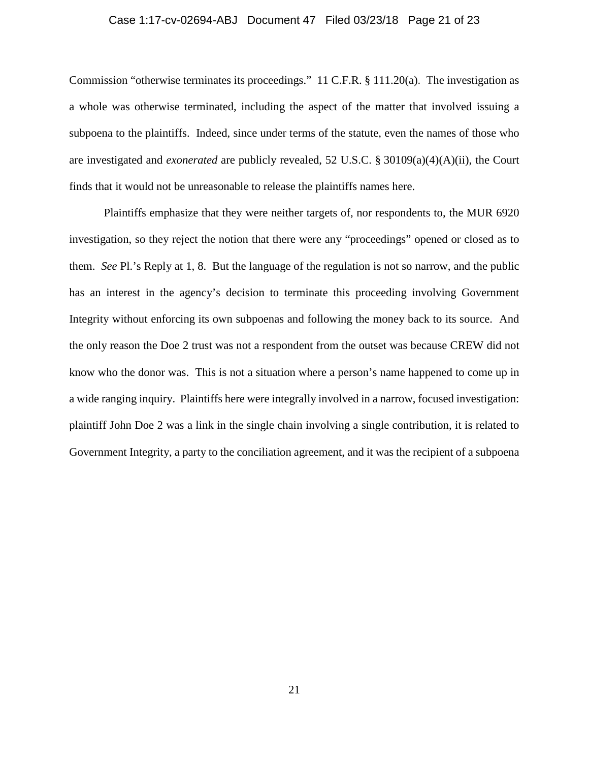#### Case 1:17-cv-02694-ABJ Document 47 Filed 03/23/18 Page 21 of 23

Commission "otherwise terminates its proceedings." 11 C.F.R. § 111.20(a). The investigation as a whole was otherwise terminated, including the aspect of the matter that involved issuing a subpoena to the plaintiffs. Indeed, since under terms of the statute, even the names of those who are investigated and *exonerated* are publicly revealed, 52 U.S.C. § 30109(a)(4)(A)(ii), the Court finds that it would not be unreasonable to release the plaintiffs names here.

Plaintiffs emphasize that they were neither targets of, nor respondents to, the MUR 6920 investigation, so they reject the notion that there were any "proceedings" opened or closed as to them. *See* Pl.'s Reply at 1, 8. But the language of the regulation is not so narrow, and the public has an interest in the agency's decision to terminate this proceeding involving Government Integrity without enforcing its own subpoenas and following the money back to its source. And the only reason the Doe 2 trust was not a respondent from the outset was because CREW did not know who the donor was. This is not a situation where a person's name happened to come up in a wide ranging inquiry. Plaintiffs here were integrally involved in a narrow, focused investigation: plaintiff John Doe 2 was a link in the single chain involving a single contribution, it is related to Government Integrity, a party to the conciliation agreement, and it was the recipient of a subpoena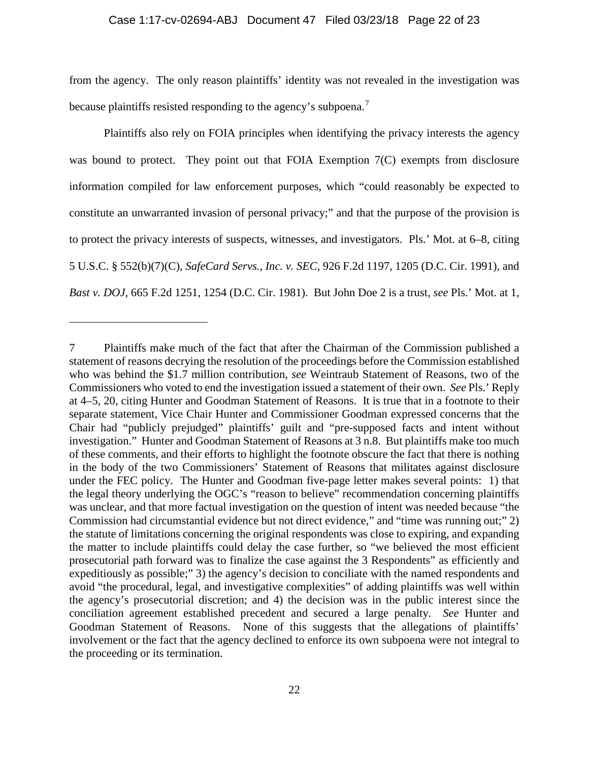#### Case 1:17-cv-02694-ABJ Document 47 Filed 03/23/18 Page 22 of 23

from the agency. The only reason plaintiffs' identity was not revealed in the investigation was because plaintiffs resisted responding to the agency's subpoena.<sup>[7](#page-21-0)</sup>

Plaintiffs also rely on FOIA principles when identifying the privacy interests the agency was bound to protect. They point out that FOIA Exemption 7(C) exempts from disclosure information compiled for law enforcement purposes, which "could reasonably be expected to constitute an unwarranted invasion of personal privacy;" and that the purpose of the provision is to protect the privacy interests of suspects, witnesses, and investigators. Pls.' Mot. at 6–8, citing 5 U.S.C. § 552(b)(7)(C), *SafeCard Servs., Inc. v. SEC*, 926 F.2d 1197, 1205 (D.C. Cir. 1991), and *Bast v. DOJ*, 665 F.2d 1251, 1254 (D.C. Cir. 1981). But John Doe 2 is a trust, *see* Pls.' Mot. at 1,

<span id="page-21-0"></span><sup>7</sup> Plaintiffs make much of the fact that after the Chairman of the Commission published a statement of reasons decrying the resolution of the proceedings before the Commission established who was behind the \$1.7 million contribution, *see* Weintraub Statement of Reasons, two of the Commissioners who voted to end the investigation issued a statement of their own. *See* Pls.' Reply at 4–5, 20, citing Hunter and Goodman Statement of Reasons. It is true that in a footnote to their separate statement, Vice Chair Hunter and Commissioner Goodman expressed concerns that the Chair had "publicly prejudged" plaintiffs' guilt and "pre-supposed facts and intent without investigation." Hunter and Goodman Statement of Reasons at 3 n.8. But plaintiffs make too much of these comments, and their efforts to highlight the footnote obscure the fact that there is nothing in the body of the two Commissioners' Statement of Reasons that militates against disclosure under the FEC policy. The Hunter and Goodman five-page letter makes several points: 1) that the legal theory underlying the OGC's "reason to believe" recommendation concerning plaintiffs was unclear, and that more factual investigation on the question of intent was needed because "the Commission had circumstantial evidence but not direct evidence," and "time was running out;" 2) the statute of limitations concerning the original respondents was close to expiring, and expanding the matter to include plaintiffs could delay the case further, so "we believed the most efficient prosecutorial path forward was to finalize the case against the 3 Respondents" as efficiently and expeditiously as possible;" 3) the agency's decision to conciliate with the named respondents and avoid "the procedural, legal, and investigative complexities" of adding plaintiffs was well within the agency's prosecutorial discretion; and 4) the decision was in the public interest since the conciliation agreement established precedent and secured a large penalty. *See* Hunter and Goodman Statement of Reasons. None of this suggests that the allegations of plaintiffs' involvement or the fact that the agency declined to enforce its own subpoena were not integral to the proceeding or its termination.